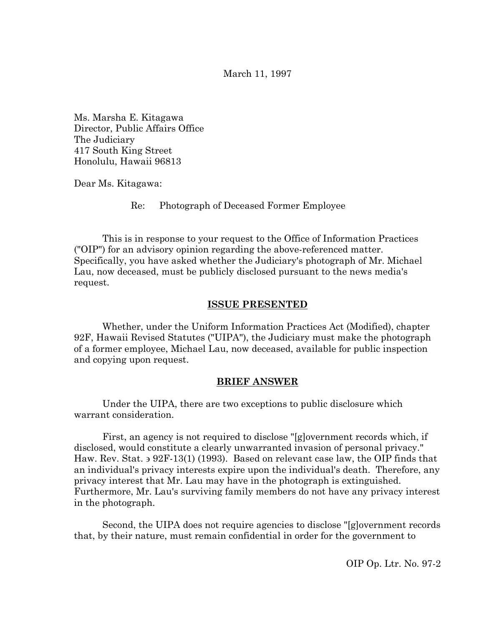March 11, 1997

Ms. Marsha E. Kitagawa Director, Public Affairs Office The Judiciary 417 South King Street Honolulu, Hawaii 96813

Dear Ms. Kitagawa:

Re: Photograph of Deceased Former Employee

This is in response to your request to the Office of Information Practices ("OIP") for an advisory opinion regarding the above-referenced matter. Specifically, you have asked whether the Judiciary's photograph of Mr. Michael Lau, now deceased, must be publicly disclosed pursuant to the news media's request.

## **ISSUE PRESENTED**

Whether, under the Uniform Information Practices Act (Modified), chapter 92F, Hawaii Revised Statutes ("UIPA"), the Judiciary must make the photograph of a former employee, Michael Lau, now deceased, available for public inspection and copying upon request.

### **BRIEF ANSWER**

Under the UIPA, there are two exceptions to public disclosure which warrant consideration.

First, an agency is not required to disclose "[g]overnment records which, if disclosed, would constitute a clearly unwarranted invasion of personal privacy." Haw. Rev. Stat. ∋ 92F-13(1) (1993). Based on relevant case law, the OIP finds that an individual's privacy interests expire upon the individual's death. Therefore, any privacy interest that Mr. Lau may have in the photograph is extinguished. Furthermore, Mr. Lau's surviving family members do not have any privacy interest in the photograph.

Second, the UIPA does not require agencies to disclose "[g]overnment records that, by their nature, must remain confidential in order for the government to

OIP Op. Ltr. No. 97-2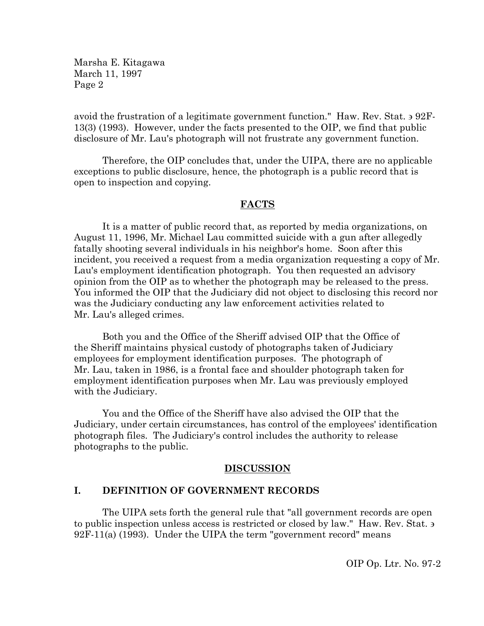avoid the frustration of a legitimate government function." Haw. Rev. Stat. ∋ 92F-13(3) (1993). However, under the facts presented to the OIP, we find that public disclosure of Mr. Lau's photograph will not frustrate any government function.

Therefore, the OIP concludes that, under the UIPA, there are no applicable exceptions to public disclosure, hence, the photograph is a public record that is open to inspection and copying.

### **FACTS**

It is a matter of public record that, as reported by media organizations, on August 11, 1996, Mr. Michael Lau committed suicide with a gun after allegedly fatally shooting several individuals in his neighbor's home. Soon after this incident, you received a request from a media organization requesting a copy of Mr. Lau's employment identification photograph. You then requested an advisory opinion from the OIP as to whether the photograph may be released to the press. You informed the OIP that the Judiciary did not object to disclosing this record nor was the Judiciary conducting any law enforcement activities related to Mr. Lau's alleged crimes.

Both you and the Office of the Sheriff advised OIP that the Office of the Sheriff maintains physical custody of photographs taken of Judiciary employees for employment identification purposes. The photograph of Mr. Lau, taken in 1986, is a frontal face and shoulder photograph taken for employment identification purposes when Mr. Lau was previously employed with the Judiciary.

You and the Office of the Sheriff have also advised the OIP that the Judiciary, under certain circumstances, has control of the employees' identification photograph files. The Judiciary's control includes the authority to release photographs to the public.

### **DISCUSSION**

### **I. DEFINITION OF GOVERNMENT RECORDS**

The UIPA sets forth the general rule that "all government records are open to public inspection unless access is restricted or closed by law." Haw. Rev. Stat. ∋ 92F-11(a) (1993). Under the UIPA the term "government record" means

OIP Op. Ltr. No. 97-2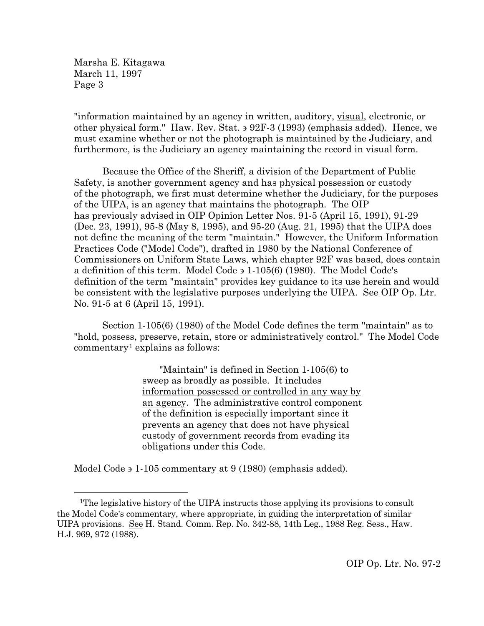"information maintained by an agency in written, auditory, visual, electronic, or other physical form." Haw. Rev. Stat. ∋ 92F-3 (1993) (emphasis added). Hence, we must examine whether or not the photograph is maintained by the Judiciary, and furthermore, is the Judiciary an agency maintaining the record in visual form.

Because the Office of the Sheriff, a division of the Department of Public Safety, is another government agency and has physical possession or custody of the photograph, we first must determine whether the Judiciary, for the purposes of the UIPA, is an agency that maintains the photograph. The OIP has previously advised in OIP Opinion Letter Nos. 91-5 (April 15, 1991), 91-29 (Dec. 23, 1991), 95-8 (May 8, 1995), and 95-20 (Aug. 21, 1995) that the UIPA does not define the meaning of the term "maintain." However, the Uniform Information Practices Code ("Model Code"), drafted in 1980 by the National Conference of Commissioners on Uniform State Laws, which chapter 92F was based, does contain a definition of this term. Model Code ∋ 1-105(6) (1980). The Model Code's definition of the term "maintain" provides key guidance to its use herein and would be consistent with the legislative purposes underlying the UIPA. See OIP Op. Ltr. No. 91-5 at 6 (April 15, 1991).

Section 1-105(6) (1980) of the Model Code defines the term "maintain" as to "hold, possess, preserve, retain, store or administratively control." The Model Code  $commentary<sup>1</sup> explains as follows:$  $commentary<sup>1</sup> explains as follows:$  $commentary<sup>1</sup> explains as follows:$ 

> "Maintain" is defined in Section 1-105(6) to sweep as broadly as possible. It includes information possessed or controlled in any way by an agency. The administrative control component of the definition is especially important since it prevents an agency that does not have physical custody of government records from evading its obligations under this Code.

Model Code ∋ 1-105 commentary at 9 (1980) (emphasis added).

<span id="page-2-0"></span>Ĩ. 1The legislative history of the UIPA instructs those applying its provisions to consult the Model Code's commentary, where appropriate, in guiding the interpretation of similar UIPA provisions. See H. Stand. Comm. Rep. No. 342-88, 14th Leg., 1988 Reg. Sess., Haw. H.J. 969, 972 (1988).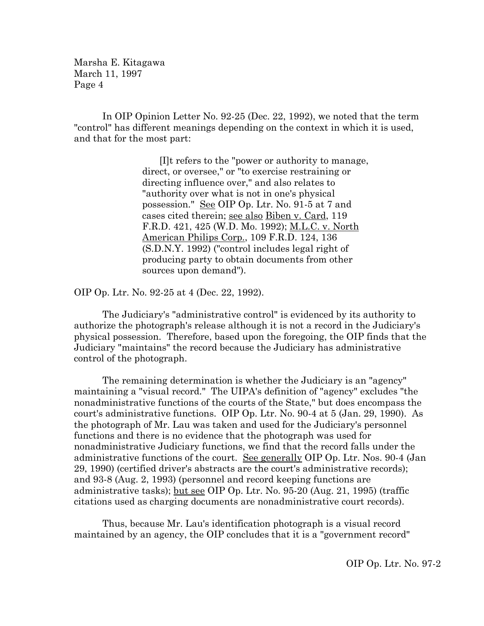In OIP Opinion Letter No. 92-25 (Dec. 22, 1992), we noted that the term "control" has different meanings depending on the context in which it is used, and that for the most part:

> [I]t refers to the "power or authority to manage, direct, or oversee," or "to exercise restraining or directing influence over," and also relates to "authority over what is not in one's physical possession." See OIP Op. Ltr. No. 91-5 at 7 and cases cited therein; see also Biben v. Card, 119 F.R.D. 421, 425 (W.D. Mo. 1992); M.L.C. v. North American Philips Corp., 109 F.R.D. 124, 136 (S.D.N.Y. 1992) ("control includes legal right of producing party to obtain documents from other sources upon demand").

OIP Op. Ltr. No. 92-25 at 4 (Dec. 22, 1992).

The Judiciary's "administrative control" is evidenced by its authority to authorize the photograph's release although it is not a record in the Judiciary's physical possession. Therefore, based upon the foregoing, the OIP finds that the Judiciary "maintains" the record because the Judiciary has administrative control of the photograph.

The remaining determination is whether the Judiciary is an "agency" maintaining a "visual record." The UIPA's definition of "agency" excludes "the nonadministrative functions of the courts of the State," but does encompass the court's administrative functions. OIP Op. Ltr. No. 90-4 at 5 (Jan. 29, 1990). As the photograph of Mr. Lau was taken and used for the Judiciary's personnel functions and there is no evidence that the photograph was used for nonadministrative Judiciary functions, we find that the record falls under the administrative functions of the court. See generally OIP Op. Ltr. Nos. 90-4 (Jan 29, 1990) (certified driver's abstracts are the court's administrative records); and 93-8 (Aug. 2, 1993) (personnel and record keeping functions are administrative tasks); but see OIP Op. Ltr. No. 95-20 (Aug. 21, 1995) (traffic citations used as charging documents are nonadministrative court records).

Thus, because Mr. Lau's identification photograph is a visual record maintained by an agency, the OIP concludes that it is a "government record"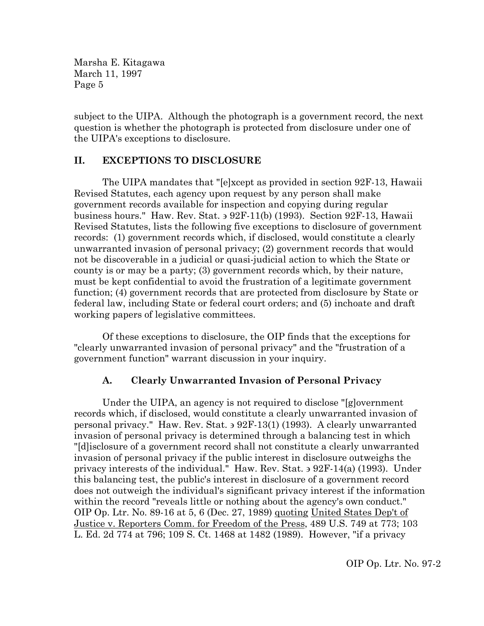subject to the UIPA. Although the photograph is a government record, the next question is whether the photograph is protected from disclosure under one of the UIPA's exceptions to disclosure.

# **II. EXCEPTIONS TO DISCLOSURE**

The UIPA mandates that "[e]xcept as provided in section 92F-13, Hawaii Revised Statutes, each agency upon request by any person shall make government records available for inspection and copying during regular business hours." Haw. Rev. Stat. ∋ 92F-11(b) (1993). Section 92F-13, Hawaii Revised Statutes, lists the following five exceptions to disclosure of government records: (1) government records which, if disclosed, would constitute a clearly unwarranted invasion of personal privacy; (2) government records that would not be discoverable in a judicial or quasi-judicial action to which the State or county is or may be a party; (3) government records which, by their nature, must be kept confidential to avoid the frustration of a legitimate government function; (4) government records that are protected from disclosure by State or federal law, including State or federal court orders; and (5) inchoate and draft working papers of legislative committees.

Of these exceptions to disclosure, the OIP finds that the exceptions for "clearly unwarranted invasion of personal privacy" and the "frustration of a government function" warrant discussion in your inquiry.

# **A. Clearly Unwarranted Invasion of Personal Privacy**

Under the UIPA, an agency is not required to disclose "[g]overnment records which, if disclosed, would constitute a clearly unwarranted invasion of personal privacy." Haw. Rev. Stat. ∋ 92F-13(1) (1993). A clearly unwarranted invasion of personal privacy is determined through a balancing test in which "[d]isclosure of a government record shall not constitute a clearly unwarranted invasion of personal privacy if the public interest in disclosure outweighs the privacy interests of the individual." Haw. Rev. Stat. ∋ 92F-14(a) (1993). Under this balancing test, the public's interest in disclosure of a government record does not outweigh the individual's significant privacy interest if the information within the record "reveals little or nothing about the agency's own conduct." OIP Op. Ltr. No. 89-16 at 5, 6 (Dec. 27, 1989) quoting United States Dep't of Justice v. Reporters Comm. for Freedom of the Press, 489 U.S. 749 at 773; 103 L. Ed. 2d 774 at 796; 109 S. Ct. 1468 at 1482 (1989). However, "if a privacy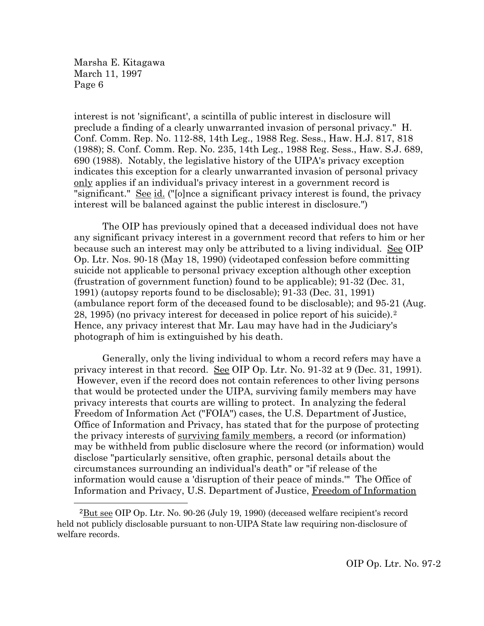interest is not 'significant', a scintilla of public interest in disclosure will preclude a finding of a clearly unwarranted invasion of personal privacy." H. Conf. Comm. Rep. No. 112-88, 14th Leg., 1988 Reg. Sess., Haw. H.J. 817, 818 (1988); S. Conf. Comm. Rep. No. 235, 14th Leg., 1988 Reg. Sess., Haw. S.J. 689, 690 (1988). Notably, the legislative history of the UIPA's privacy exception indicates this exception for a clearly unwarranted invasion of personal privacy only applies if an individual's privacy interest in a government record is "significant." See id. ("[o]nce a significant privacy interest is found, the privacy interest will be balanced against the public interest in disclosure.")

The OIP has previously opined that a deceased individual does not have any significant privacy interest in a government record that refers to him or her because such an interest may only be attributed to a living individual. See OIP Op. Ltr. Nos. 90-18 (May 18, 1990) (videotaped confession before committing suicide not applicable to personal privacy exception although other exception (frustration of government function) found to be applicable); 91-32 (Dec. 31, 1991) (autopsy reports found to be disclosable); 91-33 (Dec. 31, 1991) (ambulance report form of the deceased found to be disclosable); and 95-21 (Aug. 28, 1995) (no privacy interest for deceased in police report of his suicide).[2](#page-5-0) Hence, any privacy interest that Mr. Lau may have had in the Judiciary's photograph of him is extinguished by his death.

Generally, only the living individual to whom a record refers may have a privacy interest in that record. See OIP Op. Ltr. No. 91-32 at 9 (Dec. 31, 1991). However, even if the record does not contain references to other living persons that would be protected under the UIPA, surviving family members may have privacy interests that courts are willing to protect. In analyzing the federal Freedom of Information Act ("FOIA") cases, the U.S. Department of Justice, Office of Information and Privacy, has stated that for the purpose of protecting the privacy interests of surviving family members, a record (or information) may be withheld from public disclosure where the record (or information) would disclose "particularly sensitive, often graphic, personal details about the circumstances surrounding an individual's death" or "if release of the information would cause a 'disruption of their peace of minds.'" The Office of Information and Privacy, U.S. Department of Justice, Freedom of Information

<span id="page-5-0"></span>Ĩ. 2But see OIP Op. Ltr. No. 90-26 (July 19, 1990) (deceased welfare recipient's record held not publicly disclosable pursuant to non-UIPA State law requiring non-disclosure of welfare records.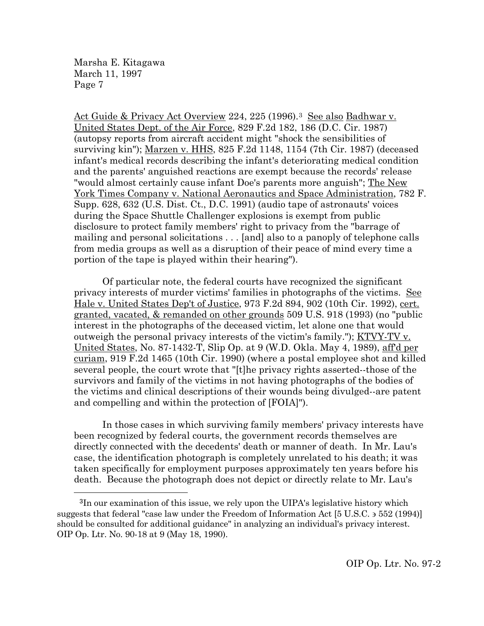Act Guide & Privacy Act Overview 224, 225 (1996).<sup>3</sup> See also Badhwar v. United States Dept. of the Air Force, 829 F.2d 182, 186 (D.C. Cir. 1987) (autopsy reports from aircraft accident might "shock the sensibilities of surviving kin"); Marzen v. HHS, 825 F.2d 1148, 1154 (7th Cir. 1987) (deceased infant's medical records describing the infant's deteriorating medical condition and the parents' anguished reactions are exempt because the records' release "would almost certainly cause infant Doe's parents more anguish"; The New York Times Company v. National Aeronautics and Space Administration, 782 F. Supp. 628, 632 (U.S. Dist. Ct., D.C. 1991) (audio tape of astronauts' voices during the Space Shuttle Challenger explosions is exempt from public disclosure to protect family members' right to privacy from the "barrage of mailing and personal solicitations . . . [and] also to a panoply of telephone calls from media groups as well as a disruption of their peace of mind every time a portion of the tape is played within their hearing").

Of particular note, the federal courts have recognized the significant privacy interests of murder victims' families in photographs of the victims. See Hale v. United States Dep't of Justice, 973 F.2d 894, 902 (10th Cir. 1992), cert. granted, vacated, & remanded on other grounds 509 U.S. 918 (1993) (no "public interest in the photographs of the deceased victim, let alone one that would outweigh the personal privacy interests of the victim's family."); <u>KTVY-TV v.</u> United States, No. 87-1432-T, Slip Op. at 9 (W.D. Okla. May 4, 1989), aff'd per curiam, 919 F.2d 1465 (10th Cir. 1990) (where a postal employee shot and killed several people, the court wrote that "[t]he privacy rights asserted--those of the survivors and family of the victims in not having photographs of the bodies of the victims and clinical descriptions of their wounds being divulged--are patent and compelling and within the protection of [FOIA]").

In those cases in which surviving family members' privacy interests have been recognized by federal courts, the government records themselves are directly connected with the decedents' death or manner of death. In Mr. Lau's case, the identification photograph is completely unrelated to his death; it was taken specifically for employment purposes approximately ten years before his death. Because the photograph does not depict or directly relate to Mr. Lau's

<span id="page-6-0"></span>Ĩ. 3In our examination of this issue, we rely upon the UIPA's legislative history which suggests that federal "case law under the Freedom of Information Act [5 U.S.C. ∋ 552 (1994)] should be consulted for additional guidance" in analyzing an individual's privacy interest. OIP Op. Ltr. No. 90-18 at 9 (May 18, 1990).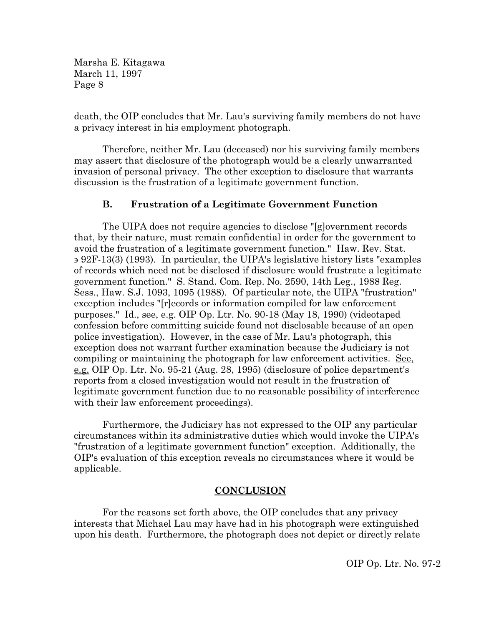death, the OIP concludes that Mr. Lau's surviving family members do not have a privacy interest in his employment photograph.

Therefore, neither Mr. Lau (deceased) nor his surviving family members may assert that disclosure of the photograph would be a clearly unwarranted invasion of personal privacy. The other exception to disclosure that warrants discussion is the frustration of a legitimate government function.

# **B. Frustration of a Legitimate Government Function**

The UIPA does not require agencies to disclose "[g]overnment records that, by their nature, must remain confidential in order for the government to avoid the frustration of a legitimate government function." Haw. Rev. Stat. ∋ 92F-13(3) (1993). In particular, the UIPA's legislative history lists "examples of records which need not be disclosed if disclosure would frustrate a legitimate government function." S. Stand. Com. Rep. No. 2590, 14th Leg., 1988 Reg. Sess., Haw. S.J. 1093, 1095 (1988). Of particular note, the UIPA "frustration" exception includes "[r]ecords or information compiled for law enforcement purposes." Id., see, e.g. OIP Op. Ltr. No. 90-18 (May 18, 1990) (videotaped confession before committing suicide found not disclosable because of an open police investigation). However, in the case of Mr. Lau's photograph, this exception does not warrant further examination because the Judiciary is not compiling or maintaining the photograph for law enforcement activities. See, e.g. OIP Op. Ltr. No. 95-21 (Aug. 28, 1995) (disclosure of police department's reports from a closed investigation would not result in the frustration of legitimate government function due to no reasonable possibility of interference with their law enforcement proceedings).

Furthermore, the Judiciary has not expressed to the OIP any particular circumstances within its administrative duties which would invoke the UIPA's "frustration of a legitimate government function" exception. Additionally, the OIP's evaluation of this exception reveals no circumstances where it would be applicable.

## **CONCLUSION**

For the reasons set forth above, the OIP concludes that any privacy interests that Michael Lau may have had in his photograph were extinguished upon his death. Furthermore, the photograph does not depict or directly relate